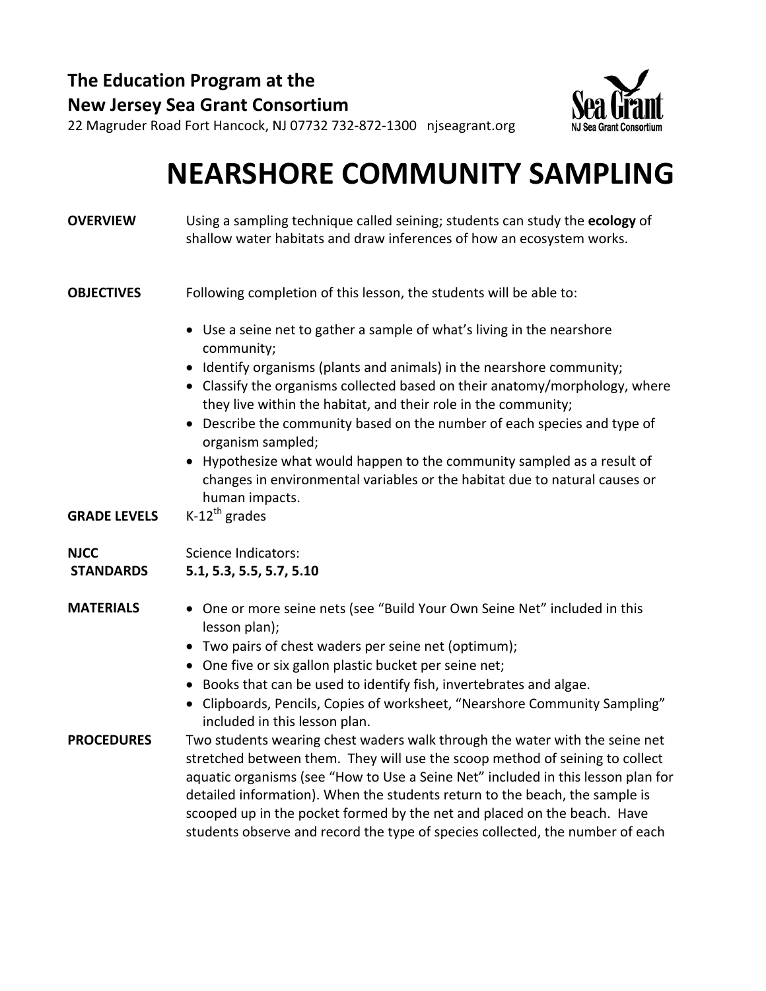**The Education Program at the New Jersey Sea Grant Consortium**



22 Magruder Road Fort Hancock, NJ 07732 732‐872‐1300 njseagrant.org

### **NEARSHORE COMMUNITY SAMPLING**

| <b>OVERVIEW</b>                 | Using a sampling technique called seining; students can study the ecology of<br>shallow water habitats and draw inferences of how an ecosystem works.                                                                                                                                                                                                                                                                                                                                       |
|---------------------------------|---------------------------------------------------------------------------------------------------------------------------------------------------------------------------------------------------------------------------------------------------------------------------------------------------------------------------------------------------------------------------------------------------------------------------------------------------------------------------------------------|
| <b>OBJECTIVES</b>               | Following completion of this lesson, the students will be able to:                                                                                                                                                                                                                                                                                                                                                                                                                          |
|                                 | • Use a seine net to gather a sample of what's living in the nearshore<br>community;                                                                                                                                                                                                                                                                                                                                                                                                        |
|                                 | Identify organisms (plants and animals) in the nearshore community;<br>Classify the organisms collected based on their anatomy/morphology, where<br>they live within the habitat, and their role in the community;                                                                                                                                                                                                                                                                          |
|                                 | • Describe the community based on the number of each species and type of<br>organism sampled;                                                                                                                                                                                                                                                                                                                                                                                               |
|                                 | • Hypothesize what would happen to the community sampled as a result of<br>changes in environmental variables or the habitat due to natural causes or<br>human impacts.                                                                                                                                                                                                                                                                                                                     |
| <b>GRADE LEVELS</b>             | $K-12^{th}$ grades                                                                                                                                                                                                                                                                                                                                                                                                                                                                          |
| <b>NJCC</b><br><b>STANDARDS</b> | <b>Science Indicators:</b><br>5.1, 5.3, 5.5, 5.7, 5.10                                                                                                                                                                                                                                                                                                                                                                                                                                      |
| <b>MATERIALS</b>                | • One or more seine nets (see "Build Your Own Seine Net" included in this<br>lesson plan);                                                                                                                                                                                                                                                                                                                                                                                                  |
|                                 | • Two pairs of chest waders per seine net (optimum);                                                                                                                                                                                                                                                                                                                                                                                                                                        |
|                                 | • One five or six gallon plastic bucket per seine net;                                                                                                                                                                                                                                                                                                                                                                                                                                      |
|                                 | • Books that can be used to identify fish, invertebrates and algae.<br>• Clipboards, Pencils, Copies of worksheet, "Nearshore Community Sampling"<br>included in this lesson plan.                                                                                                                                                                                                                                                                                                          |
| <b>PROCEDURES</b>               | Two students wearing chest waders walk through the water with the seine net<br>stretched between them. They will use the scoop method of seining to collect<br>aquatic organisms (see "How to Use a Seine Net" included in this lesson plan for<br>detailed information). When the students return to the beach, the sample is<br>scooped up in the pocket formed by the net and placed on the beach. Have<br>students observe and record the type of species collected, the number of each |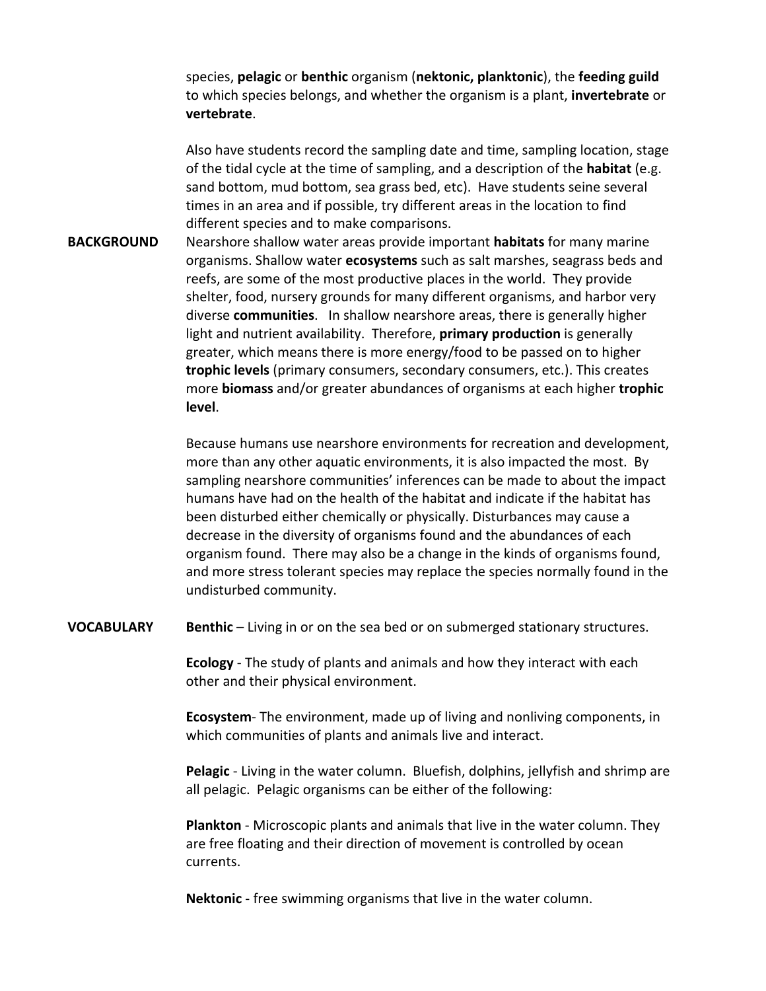species, **pelagic** or **benthic** organism (**nektonic, planktonic**), the **feeding guild** to which species belongs, and whether the organism is a plant, **invertebrate** or **vertebrate**.

Also have students record the sampling date and time, sampling location, stage of the tidal cycle at the time of sampling, and a description of the **habitat** (e.g. sand bottom, mud bottom, sea grass bed, etc). Have students seine several times in an area and if possible, try different areas in the location to find different species and to make comparisons.

**BACKGROUND** Nearshore shallow water areas provide important **habitats** for many marine organisms. Shallow water **ecosystems** such as salt marshes, seagrass beds and reefs, are some of the most productive places in the world. They provide shelter, food, nursery grounds for many different organisms, and harbor very diverse **communities**. In shallow nearshore areas, there is generally higher light and nutrient availability. Therefore, **primary production** is generally greater, which means there is more energy/food to be passed on to higher **trophic levels** (primary consumers, secondary consumers, etc.). This creates more **biomass** and/or greater abundances of organisms at each higher **trophic level**.

> Because humans use nearshore environments for recreation and development, more than any other aquatic environments, it is also impacted the most. By sampling nearshore communities' inferences can be made to about the impact humans have had on the health of the habitat and indicate if the habitat has been disturbed either chemically or physically. Disturbances may cause a decrease in the diversity of organisms found and the abundances of each organism found. There may also be a change in the kinds of organisms found, and more stress tolerant species may replace the species normally found in the undisturbed community.

**VOCABULARY Benthic** – Living in or on the sea bed or on submerged stationary structures.

**Ecology** ‐ The study of plants and animals and how they interact with each other and their physical environment.

**Ecosystem** - The environment, made up of living and nonliving components, in which communities of plants and animals live and interact.

**Pelagic** ‐ Living in the water column. Bluefish, dolphins, jellyfish and shrimp are all pelagic. Pelagic organisms can be either of the following:

**Plankton** ‐ Microscopic plants and animals that live in the water column. They are free floating and their direction of movement is controlled by ocean currents.

**Nektonic** ‐ free swimming organisms that live in the water column.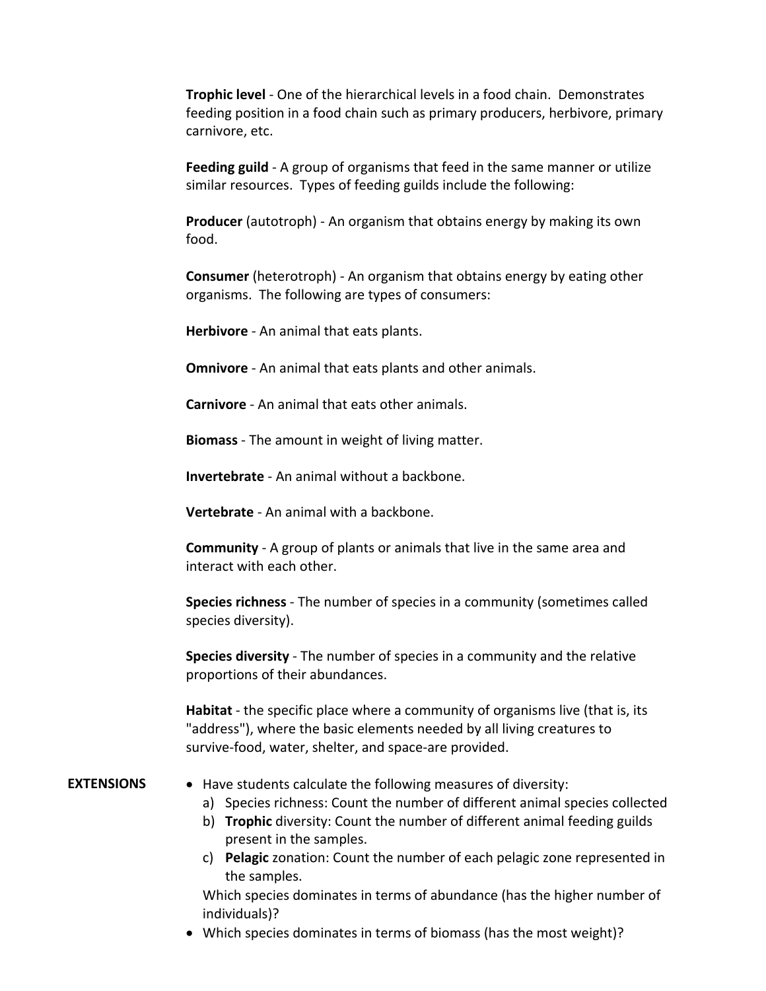**Trophic level** ‐ One of the hierarchical levels in a food chain. Demonstrates feeding position in a food chain such as primary producers, herbivore, primary carnivore, etc.

**Feeding guild** ‐ A group of organisms that feed in the same manner or utilize similar resources. Types of feeding guilds include the following:

**Producer** (autotroph) - An organism that obtains energy by making its own food.

**Consumer** (heterotroph) ‐ An organism that obtains energy by eating other organisms. The following are types of consumers:

**Herbivore** ‐ An animal that eats plants.

**Omnivore** - An animal that eats plants and other animals.

**Carnivore** ‐ An animal that eats other animals.

**Biomass** ‐ The amount in weight of living matter.

**Invertebrate** ‐ An animal without a backbone.

**Vertebrate** ‐ An animal with a backbone.

**Community** ‐ A group of plants or animals that live in the same area and interact with each other.

**Species richness** ‐ The number of species in a community (sometimes called species diversity).

**Species diversity** ‐ The number of species in a community and the relative proportions of their abundances.

**Habitat** ‐ the specific place where a community of organisms live (that is, its "address"), where the basic elements needed by all living creatures to survive‐food, water, shelter, and space‐are provided.

**EXTENSIONS** • Have students calculate the following measures of diversity:

- a) Species richness: Count the number of different animal species collected
- b) **Trophic** diversity: Count the number of different animal feeding guilds present in the samples.
- c) **Pelagic** zonation: Count the number of each pelagic zone represented in the samples.

Which species dominates in terms of abundance (has the higher number of individuals)?

• Which species dominates in terms of biomass (has the most weight)?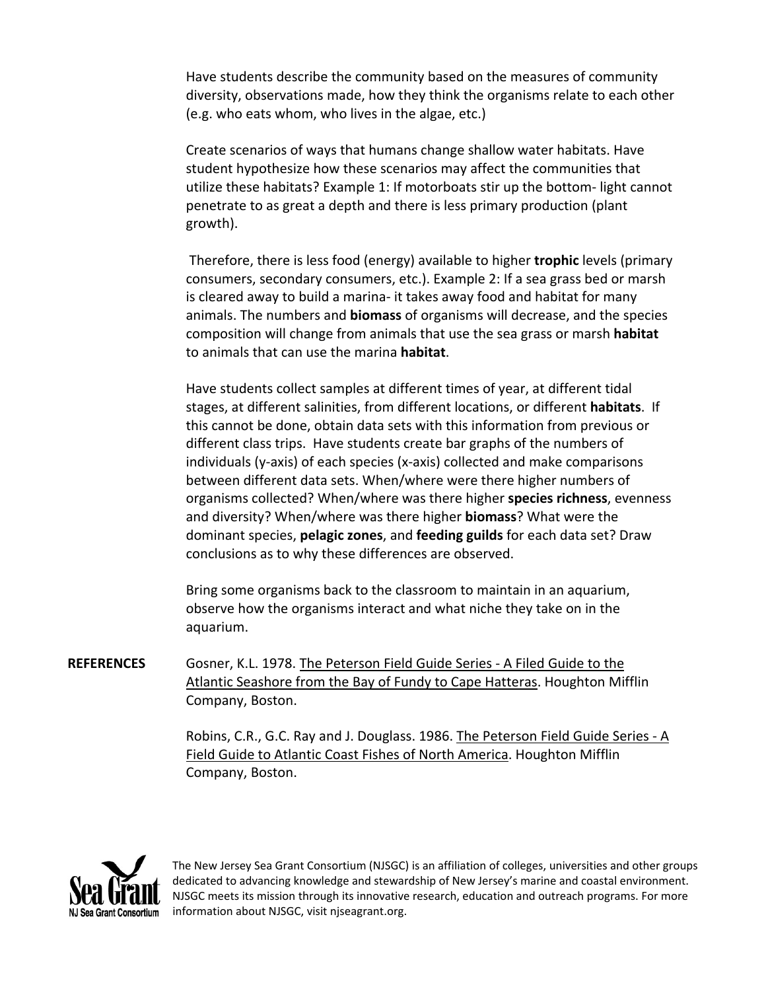Have students describe the community based on the measures of community diversity, observations made, how they think the organisms relate to each other (e.g. who eats whom, who lives in the algae, etc.)

Create scenarios of ways that humans change shallow water habitats. Have student hypothesize how these scenarios may affect the communities that utilize these habitats? Example 1: If motorboats stir up the bottom‐ light cannot penetrate to as great a depth and there is less primary production (plant growth).

Therefore, there is less food (energy) available to higher **trophic** levels (primary consumers, secondary consumers, etc.). Example 2: If a sea grass bed or marsh is cleared away to build a marina‐ it takes away food and habitat for many animals. The numbers and **biomass** of organisms will decrease, and the species composition will change from animals that use the sea grass or marsh **habitat** to animals that can use the marina **habitat**.

Have students collect samples at different times of year, at different tidal stages, at different salinities, from different locations, or different **habitats**. If this cannot be done, obtain data sets with this information from previous or different class trips. Have students create bar graphs of the numbers of individuals (y‐axis) of each species (x‐axis) collected and make comparisons between different data sets. When/where were there higher numbers of organisms collected? When/where was there higher **species richness**, evenness and diversity? When/where was there higher **biomass**? What were the dominant species, **pelagic zones**, and **feeding guilds** for each data set? Draw conclusions as to why these differences are observed.

Bring some organisms back to the classroom to maintain in an aquarium, observe how the organisms interact and what niche they take on in the aquarium.

**REFERENCES** Gosner, K.L. 1978. The Peterson Field Guide Series ‐ A Filed Guide to the Atlantic Seashore from the Bay of Fundy to Cape Hatteras. Houghton Mifflin Company, Boston.

> Robins, C.R., G.C. Ray and J. Douglass. 1986. The Peterson Field Guide Series ‐ A Field Guide to Atlantic Coast Fishes of North America. Houghton Mifflin Company, Boston.



The New Jersey Sea Grant Consortium (NJSGC) is an affiliation of colleges, universities and other groups dedicated to advancing knowledge and stewardship of New Jersey's marine and coastal environment. NJSGC meets its mission through its innovative research, education and outreach programs. For more information about NJSGC, visit njseagrant.org.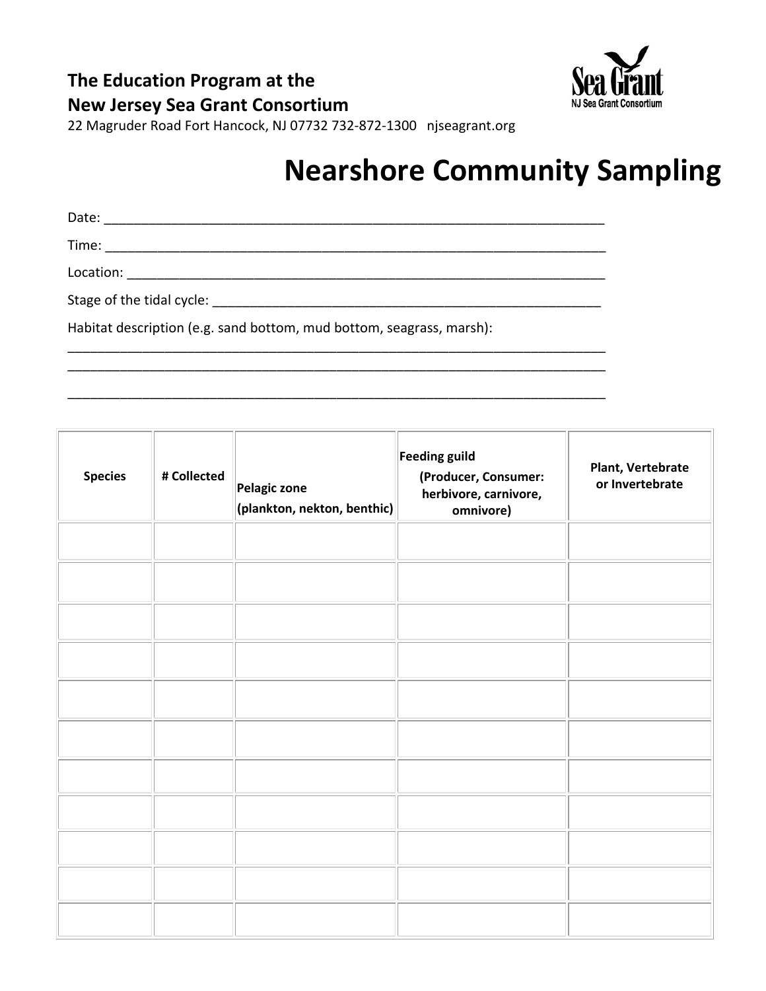



22 Magruder Road Fort Hancock, NJ 07732 732‐872‐1300 njseagrant.org

### **Nearshore Community Sampling**

Date: \_\_\_\_\_\_\_\_\_\_\_\_\_\_\_\_\_\_\_\_\_\_\_\_\_\_\_\_\_\_\_\_\_\_\_\_\_\_\_\_\_\_\_\_\_\_\_\_\_\_\_\_\_\_\_\_\_\_\_\_\_\_\_\_\_\_\_ Time: \_\_\_\_\_\_\_\_\_\_\_\_\_\_\_\_\_\_\_\_\_\_\_\_\_\_\_\_\_\_\_\_\_\_\_\_\_\_\_\_\_\_\_\_\_\_\_\_\_\_\_\_\_\_\_\_\_\_\_\_\_\_\_\_\_\_\_ Location: \_\_\_\_\_\_\_\_\_\_\_\_\_\_\_\_\_\_\_\_\_\_\_\_\_\_\_\_\_\_\_\_\_\_\_\_\_\_\_\_\_\_\_\_\_\_\_\_\_\_\_\_\_\_\_\_\_\_\_\_\_\_\_\_

\_\_\_\_\_\_\_\_\_\_\_\_\_\_\_\_\_\_\_\_\_\_\_\_\_\_\_\_\_\_\_\_\_\_\_\_\_\_\_\_\_\_\_\_\_\_\_\_\_\_\_\_\_\_\_\_\_\_\_\_\_\_\_\_\_\_\_\_\_\_\_\_ \_\_\_\_\_\_\_\_\_\_\_\_\_\_\_\_\_\_\_\_\_\_\_\_\_\_\_\_\_\_\_\_\_\_\_\_\_\_\_\_\_\_\_\_\_\_\_\_\_\_\_\_\_\_\_\_\_\_\_\_\_\_\_\_\_\_\_\_\_\_\_\_

\_\_\_\_\_\_\_\_\_\_\_\_\_\_\_\_\_\_\_\_\_\_\_\_\_\_\_\_\_\_\_\_\_\_\_\_\_\_\_\_\_\_\_\_\_\_\_\_\_\_\_\_\_\_\_\_\_\_\_\_\_\_\_\_\_\_\_\_\_\_\_\_

Stage of the tidal cycle: \_\_\_\_\_\_\_\_\_\_\_\_\_\_\_\_\_\_\_\_\_\_\_\_\_\_\_\_\_\_\_\_\_\_\_\_\_\_\_\_\_\_\_\_\_\_\_\_\_\_\_\_

Habitat description (e.g. sand bottom, mud bottom, seagrass, marsh):

**Species # Collected Pelagic zone (plankton, nekton, benthic) Feeding guild (Producer, Consumer: herbivore, carnivore, omnivore) Plant, Vertebrate or Invertebrate**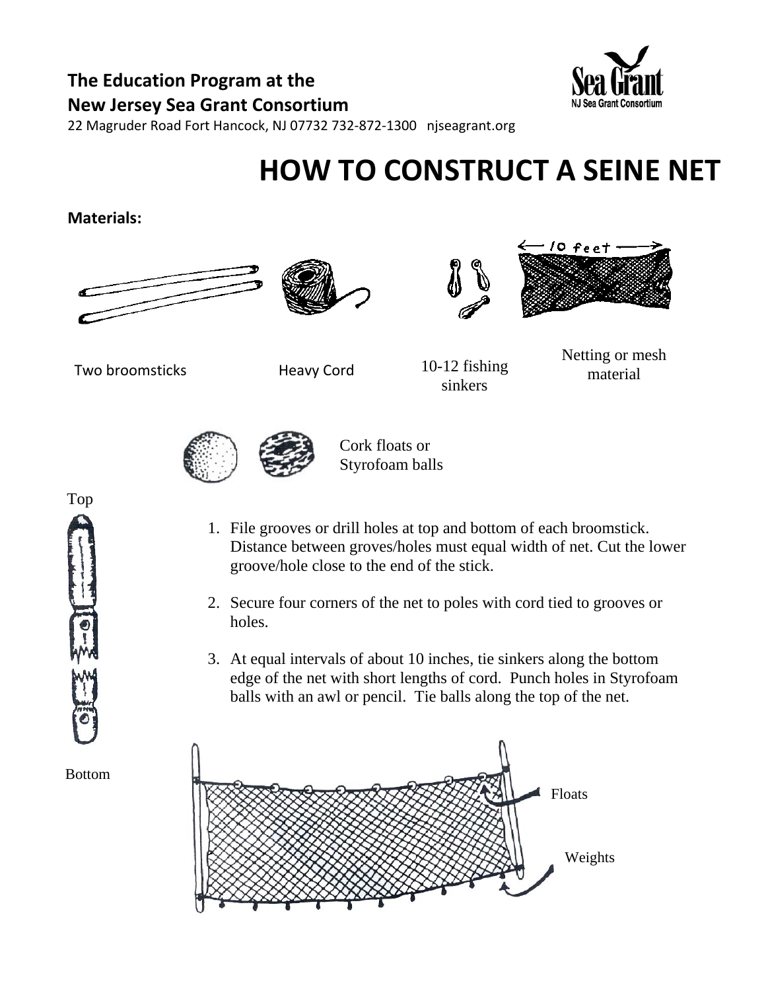### **The Education Program at the New Jersey Sea Grant Consortium**



22 Magruder Road Fort Hancock, NJ 07732 732‐872‐1300 njseagrant.org

# **HOW TO CONSTRUCT A SEINE NET**

#### **Materials:**









Two broomsticks **Heavy Cord** 

10-12 fishing sinkers

Netting or mesh material



Cork floats or Styrofoam balls

- 1. File grooves or drill holes at top and bottom of each broomstick. Distance between groves/holes must equal width of net. Cut the lower groove/hole close to the end of the stick.
- 2. Secure four corners of the net to poles with cord tied to grooves or holes.
- 3. At equal intervals of about 10 inches, tie sinkers along the bottom edge of the net with short lengths of cord. Punch holes in Styrofoam balls with an awl or pencil. Tie balls along the top of the net.





Bottom